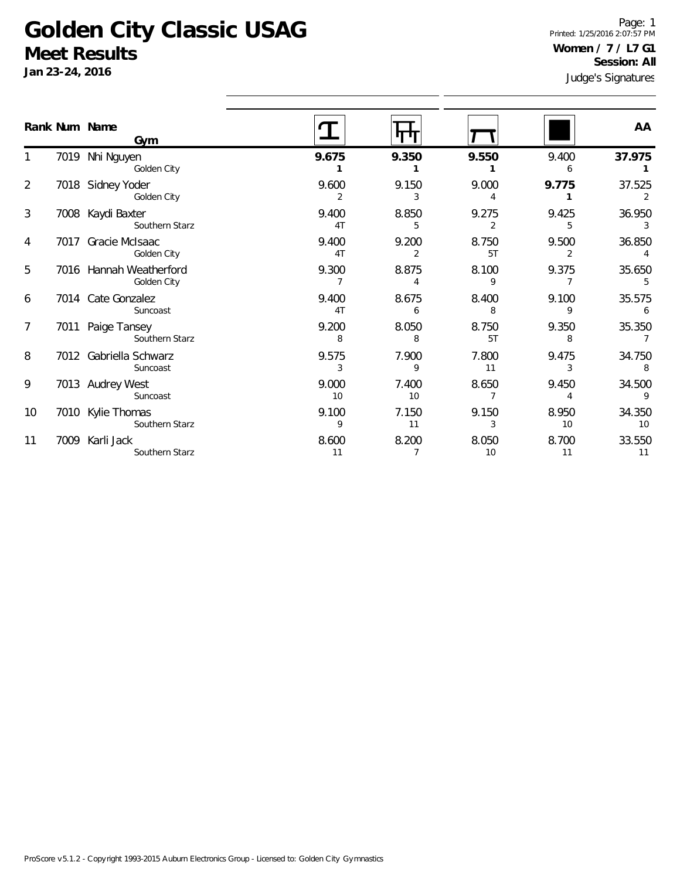## **Golden City Classic USAG Meet Results**

**Jan 23-24, 2016**

Judge's Signatures Page: 1 Printed: 1/25/2016 2:07:57 PM **Women / 7 / L7 G1 Session: All**

|                 |      | Rank Num Name<br>Gym                   |                         |                         |             |                         | AA           |
|-----------------|------|----------------------------------------|-------------------------|-------------------------|-------------|-------------------------|--------------|
|                 |      | 7019 Nhi Nguyen<br>Golden City         | 9.675                   | 9.350                   | 9.550       | 9.400<br>6              | 37.975       |
| $\overline{2}$  |      | 7018 Sidney Yoder<br>Golden City       | 9.600<br>2              | 9.150<br>3              | 9.000<br>4  | 9.775                   | 37.525       |
| 3               |      | 7008 Kaydi Baxter<br>Southern Starz    | 9.400<br>4T             | 8.850<br>5              | 9.275<br>2  | 9.425<br>5              | 36.950<br>3  |
| 4               |      | 7017 Gracie McIsaac<br>Golden City     | 9.400<br>4T             | 9.200<br>2              | 8.750<br>5T | 9.500<br>$\overline{2}$ | 36.850       |
| 5               |      | 7016 Hannah Weatherford<br>Golden City | 9.300<br>$\overline{7}$ | 8.875<br>$\overline{4}$ | 8.100<br>9  | 9.375<br>$\overline{7}$ | 35.650       |
| 6               |      | 7014 Cate Gonzalez<br>Suncoast         | 9.400<br>4T             | 8.675<br>6              | 8.400<br>8  | 9.100<br>9              | 35.575<br>6  |
| $\overline{7}$  | 7011 | Paige Tansey<br>Southern Starz         | 9.200<br>8              | 8.050<br>8              | 8.750<br>5T | 9.350<br>8              | 35.350       |
| 8               |      | 7012 Gabriella Schwarz<br>Suncoast     | 9.575<br>3              | 7.900<br>9              | 7.800<br>11 | 9.475<br>3              | 34.750<br>8  |
| 9               |      | 7013 Audrey West<br>Suncoast           | 9.000<br>10             | 7.400<br>10             | 8.650<br>7  | 9.450                   | 34.500<br>9  |
| 10 <sup>°</sup> |      | 7010 Kylie Thomas<br>Southern Starz    | 9.100<br>9              | 7.150<br>11             | 9.150<br>3  | 8.950<br>10             | 34.350<br>10 |
| 11              |      | 7009 Karli Jack<br>Southern Starz      | 8.600<br>11             | 8.200<br>7              | 8.050<br>10 | 8.700<br>11             | 33.550<br>11 |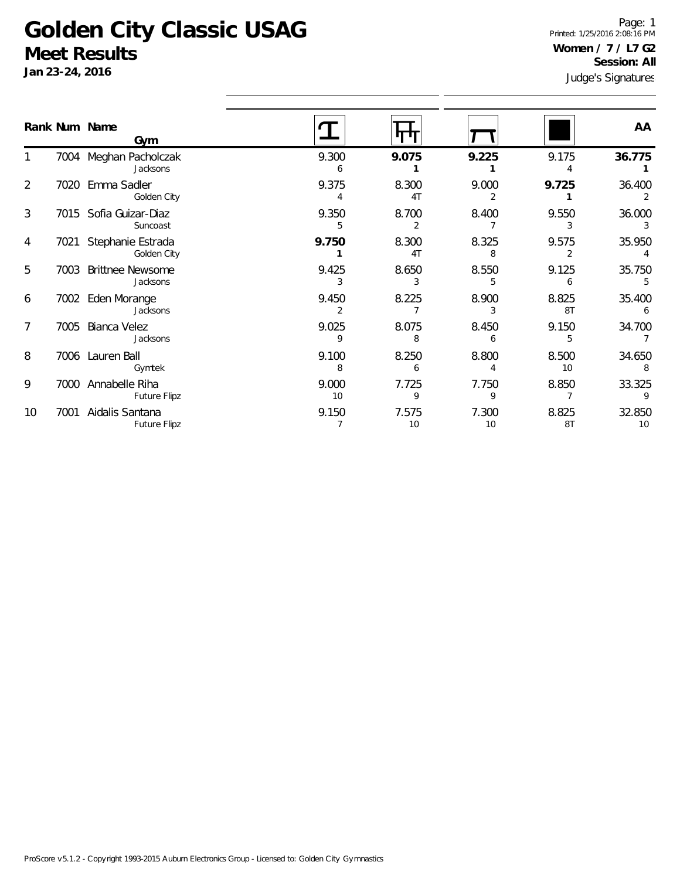## **Golden City Classic USAG Meet Results**

**Jan 23-24, 2016**

Judge's Signatures Page: 1 Printed: 1/25/2016 2:08:16 PM **Women / 7 / L7 G2 Session: All**

|    |      | Rank Num Name                       |             |                         |             |             | AA           |
|----|------|-------------------------------------|-------------|-------------------------|-------------|-------------|--------------|
|    |      | Gym                                 |             |                         |             |             |              |
|    |      | 7004 Meghan Pacholczak<br>Jacksons  | 9.300       | 9.075                   | 9.225       | 9.175       | 36.775       |
| 2  | 7020 | Emma Sadler<br>Golden City          | 9.375       | 8.300<br>4 <sub>T</sub> | 9.000       | 9.725       | 36.400       |
| 3  |      | 7015 Sofia Guizar-Diaz<br>Suncoast  | 9.350<br>5  | 8.700<br>2              | 8.400       | 9.550<br>3  | 36.000<br>3  |
| 4  | 7021 | Stephanie Estrada<br>Golden City    | 9.750       | 8.300<br>4T             | 8.325<br>8  | 9.575       | 35.950       |
| 5  | 7003 | <b>Brittnee Newsome</b><br>Jacksons | 9.425       | 8.650                   | 8.550       | 9.125<br>6  | 35.750       |
| 6  | 7002 | Eden Morange<br>Jacksons            | 9.450       | 8.225                   | 8.900       | 8.825<br>8T | 35.400<br>6  |
| 7  | 7005 | Bianca Velez<br>Jacksons            | 9.025<br>9  | 8.075<br>8              | 8.450<br>6  | 9.150<br>5  | 34.700       |
| 8  | 7006 | Lauren Ball<br>Gymtek               | 9.100<br>8  | 8.250<br>6              | 8.800       | 8.500<br>10 | 34.650       |
| 9  | 7000 | Annabelle Riha<br>Future Flipz      | 9.000<br>10 | 7.725<br>9              | 7.750<br>9  | 8.850       | 33.325<br>9  |
| 10 | 7001 | Aidalis Santana<br>Future Flipz     | 9.150       | 7.575<br>10             | 7.300<br>10 | 8.825<br>8T | 32.850<br>10 |